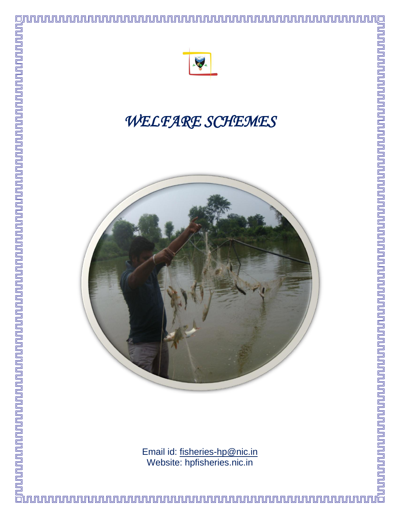

# *WELFARE SCHEMES*



Email id: [fisheries-hp@nic.in](mailto:fisheries-hp@nic.in) Website: hpfisheries.nic.in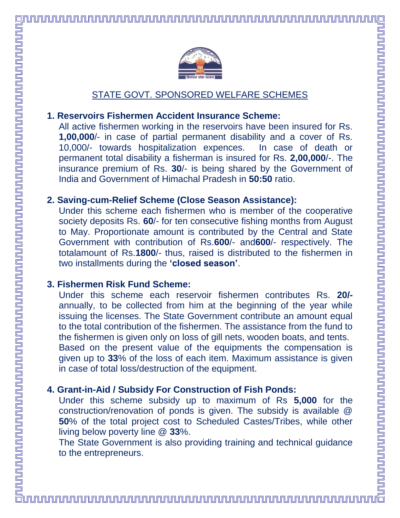<u>ININNANNINNANNINNANNINNANNINNANNINNANNINNANNINNANNINNANNINNANNINNANNINNANNINNANNINNANNINNANNINNANNINNANNINNAN</u>

#### STATE GOVT. SPONSORED WELFARE SCHEMES

#### **1. Reservoirs Fishermen Accident Insurance Scheme:**

All active fishermen working in the reservoirs have been insured for Rs. **1,00,000**/- in case of partial permanent disability and a cover of Rs. 10,000/- towards hospitalization expences. In case of death or permanent total disability a fisherman is insured for Rs. **2,00,000**/-. The insurance premium of Rs. **30**/- is being shared by the Government of India and Government of Himachal Pradesh in **50:50** ratio.

#### **2. Saving-cum-Relief Scheme (Close Season Assistance):**

Under this scheme each fishermen who is member of the cooperative society deposits Rs. **60**/- for ten consecutive fishing months from August to May. Proportionate amount is contributed by the Central and State Government with contribution of Rs.**600**/- and**600**/- respectively. The totalamount of Rs.**1800**/- thus, raised is distributed to the fishermen in two installments during the **'closed season'**.

#### **3. Fishermen Risk Fund Scheme:**

Under this scheme each reservoir fishermen contributes Rs. **20/** annually, to be collected from him at the beginning of the year while issuing the licenses. The State Government contribute an amount equal to the total contribution of the fishermen. The assistance from the fund to the fishermen is given only on loss of gill nets, wooden boats, and tents. Based on the present value of the equipments the compensation is given up to **33**% of the loss of each item. Maximum assistance is given in case of total loss/destruction of the equipment.

#### **4. Grant-in-Aid / Subsidy For Construction of Fish Ponds:**

Under this scheme subsidy up to maximum of Rs **5,000** for the construction/renovation of ponds is given. The subsidy is available @ **50**% of the total project cost to Scheduled Castes/Tribes, while other living below poverty line @ **33**%.

The State Government is also providing training and technical guidance to the entrepreneurs.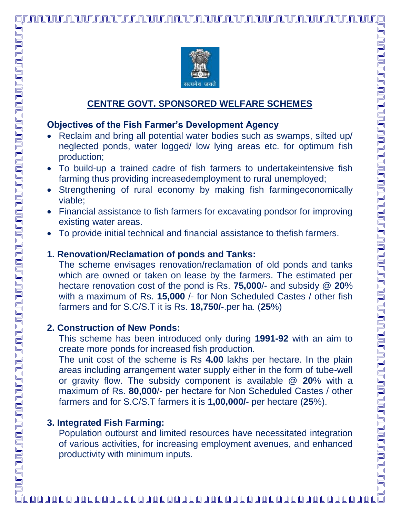#### **CENTRE GOVT. SPONSORED WELFARE SCHEMES**

#### **Objectives of the Fish Farmer's Development Agency**

- Reclaim and bring all potential water bodies such as swamps, silted up/ neglected ponds, water logged/ low lying areas etc. for optimum fish production;
- To build-up a trained cadre of fish farmers to undertakeintensive fish farming thus providing increasedemployment to rural unemployed;
- Strengthening of rural economy by making fish farmingeconomically viable;
- Financial assistance to fish farmers for excavating pondsor for improving existing water areas.
- To provide initial technical and financial assistance to thefish farmers.

## **1. Renovation/Reclamation of ponds and Tanks:**

The scheme envisages renovation/reclamation of old ponds and tanks which are owned or taken on lease by the farmers. The estimated per hectare renovation cost of the pond is Rs. **75,000**/- and subsidy @ **20**% with a maximum of Rs. **15,000** /- for Non Scheduled Castes / other fish farmers and for S.C/S.T it is Rs. **18,750/**-.per ha. (**25**%)

#### **2. Construction of New Ponds:**

This scheme has been introduced only during **1991-92** with an aim to create more ponds for increased fish production.

The unit cost of the scheme is Rs **4.00** lakhs per hectare. In the plain areas including arrangement water supply either in the form of tube-well or gravity flow. The subsidy component is available @ **20**% with a maximum of Rs. **80,000**/- per hectare for Non Scheduled Castes / other farmers and for S.C/S.T farmers it is **1,00,000/**- per hectare (**25**%).

# **3. Integrated Fish Farming:**

Population outburst and limited resources have necessitated integration of various activities, for increasing employment avenues, and enhanced productivity with minimum inputs.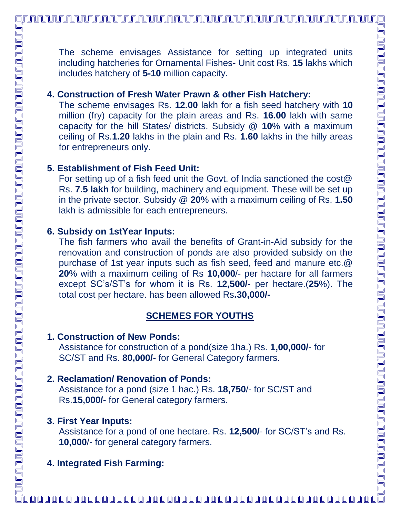The scheme envisages Assistance for setting up integrated units including hatcheries for Ornamental Fishes- Unit cost Rs. **15** lakhs which includes hatchery of **5-10** million capacity.

#### **4. Construction of Fresh Water Prawn & other Fish Hatchery:**

The scheme envisages Rs. **12.00** lakh for a fish seed hatchery with **10** million (fry) capacity for the plain areas and Rs. **16.00** lakh with same capacity for the hill States/ districts. Subsidy @ **10**% with a maximum ceiling of Rs.**1.20** lakhs in the plain and Rs. **1.60** lakhs in the hilly areas for entrepreneurs only.

#### **5. Establishment of Fish Feed Unit:**

For setting up of a fish feed unit the Govt. of India sanctioned the cost@ Rs. **7.5 lakh** for building, machinery and equipment. These will be set up in the private sector. Subsidy @ **20**% with a maximum ceiling of Rs. **1.50**  lakh is admissible for each entrepreneurs.

#### **6. Subsidy on 1stYear Inputs:**

The fish farmers who avail the benefits of Grant-in-Aid subsidy for the renovation and construction of ponds are also provided subsidy on the purchase of 1st year inputs such as fish seed, feed and manure etc.@ **20**% with a maximum ceiling of Rs **10,000**/- per hactare for all farmers except SC's/ST's for whom it is Rs. **12,500/-** per hectare.(**25**%). The total cost per hectare. has been allowed Rs**.30,000/-**

# **SCHEMES FOR YOUTHS**

#### **1. Construction of New Ponds:**

Assistance for construction of a pond(size 1ha.) Rs. **1,00,000/**- for SC/ST and Rs. **80,000/-** for General Category farmers.

#### **2. Reclamation/ Renovation of Ponds:**

Assistance for a pond (size 1 hac.) Rs. **18,750**/- for SC/ST and Rs.**15,000/-** for General category farmers.

#### **3. First Year Inputs:**

Assistance for a pond of one hectare. Rs. **12,500/**- for SC/ST's and Rs. **10,000**/- for general category farmers.

# **4. Integrated Fish Farming:**